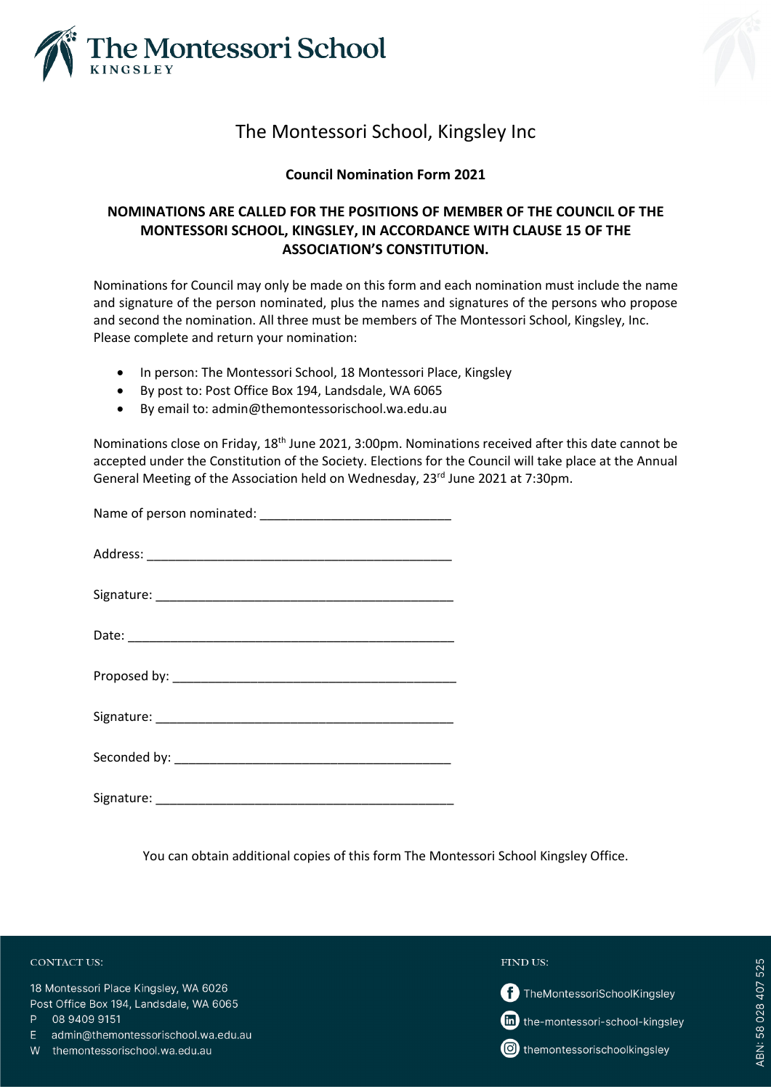

# The Montessori School, Kingsley Inc

### **Council Nomination Form 2021**

## **NOMINATIONS ARE CALLED FOR THE POSITIONS OF MEMBER OF THE COUNCIL OF THE MONTESSORI SCHOOL, KINGSLEY, IN ACCORDANCE WITH CLAUSE 15 OF THE ASSOCIATION'S CONSTITUTION.**

Nominations for Council may only be made on this form and each nomination must include the name and signature of the person nominated, plus the names and signatures of the persons who propose and second the nomination. All three must be members of The Montessori School, Kingsley, Inc. Please complete and return your nomination:

- In person: The Montessori School, 18 Montessori Place, Kingsley
- By post to: Post Office Box 194, Landsdale, WA 6065
- By email to: admin@themontessorischool.wa.edu.au

Nominations close on Friday, 18<sup>th</sup> June 2021, 3:00pm. Nominations received after this date cannot be accepted under the Constitution of the Society. Elections for the Council will take place at the Annual General Meeting of the Association held on Wednesday, 23<sup>rd</sup> June 2021 at 7:30pm.

You can obtain additional copies of this form The Montessori School Kingsley Office.